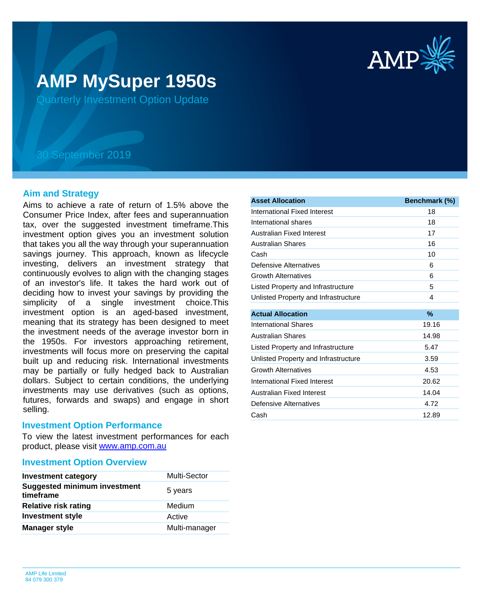

# **AMP MySuper 1950s**

Quarterly Investment Option Update

## 30 September 2019

## **Aim and Strategy**

Aims to achieve a rate of return of 1.5% above the Consumer Price Index, after fees and superannuation tax, over the suggested investment timeframe.This investment option gives you an investment solution that takes you all the way through your superannuation savings journey. This approach, known as lifecycle investing, delivers an investment strategy that continuously evolves to align with the changing stages of an investor's life. It takes the hard work out of deciding how to invest your savings by providing the simplicity of a single investment choice.This investment option is an aged-based investment, meaning that its strategy has been designed to meet the investment needs of the average investor born in the 1950s. For investors approaching retirement, investments will focus more on preserving the capital built up and reducing risk. International investments may be partially or fully hedged back to Australian dollars. Subject to certain conditions, the underlying investments may use derivatives (such as options, futures, forwards and swaps) and engage in short selling.

### **Investment Option Performance**

product, please visit **[www.amp.com.au](https://www.amp.com.au)** To view the latest investment performances for each

## **Investment Option Overview**

| <b>Investment category</b>                       | <b>Multi-Sector</b> |
|--------------------------------------------------|---------------------|
| <b>Suggested minimum investment</b><br>timeframe | 5 years             |
| <b>Relative risk rating</b>                      | Medium              |
| <b>Investment style</b>                          | Active              |
| <b>Manager style</b>                             | Multi-manager       |

| <b>Asset Allocation</b>              | Benchmark (%) |
|--------------------------------------|---------------|
| International Fixed Interest         | 18            |
| International shares                 | 18            |
| Australian Fixed Interest            | 17            |
| <b>Australian Shares</b>             | 16            |
| Cash                                 | 10            |
| Defensive Alternatives               | 6             |
| <b>Growth Alternatives</b>           | 6             |
| Listed Property and Infrastructure   | 5             |
| Unlisted Property and Infrastructure | 4             |
| <b>Actual Allocation</b>             | %             |
| <b>International Shares</b>          | 19.16         |
| <b>Australian Shares</b>             | 14.98         |
| Listed Property and Infrastructure   | 5.47          |
| Unlisted Property and Infrastructure | 3.59          |
| <b>Growth Alternatives</b>           | 4.53          |
| International Fixed Interest         | 20.62         |
| Australian Fixed Interest            | 14.04         |
| Defensive Alternatives               | 4.72          |
| Cash                                 | 12.89         |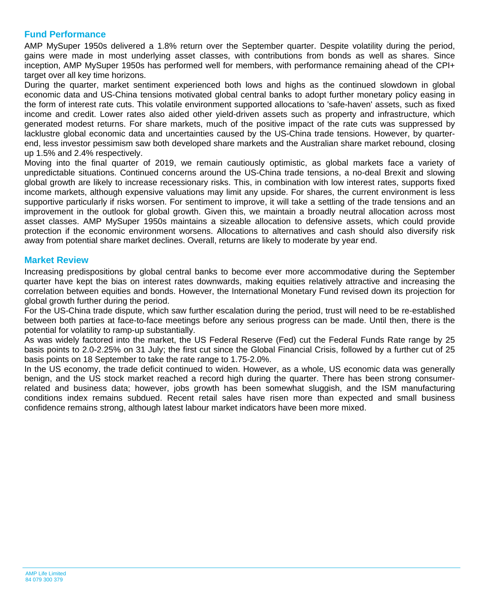## **Fund Performance**

AMP MySuper 1950s delivered a 1.8% return over the September quarter. Despite volatility during the period, gains were made in most underlying asset classes, with contributions from bonds as well as shares. Since inception, AMP MySuper 1950s has performed well for members, with performance remaining ahead of the CPI+ target over all key time horizons.

During the quarter, market sentiment experienced both lows and highs as the continued slowdown in global economic data and US-China tensions motivated global central banks to adopt further monetary policy easing in the form of interest rate cuts. This volatile environment supported allocations to 'safe-haven' assets, such as fixed income and credit. Lower rates also aided other yield-driven assets such as property and infrastructure, which generated modest returns. For share markets, much of the positive impact of the rate cuts was suppressed by lacklustre global economic data and uncertainties caused by the US-China trade tensions. However, by quarterend, less investor pessimism saw both developed share markets and the Australian share market rebound, closing up 1.5% and 2.4% respectively.

Moving into the final quarter of 2019, we remain cautiously optimistic, as global markets face a variety of unpredictable situations. Continued concerns around the US-China trade tensions, a no-deal Brexit and slowing global growth are likely to increase recessionary risks. This, in combination with low interest rates, supports fixed income markets, although expensive valuations may limit any upside. For shares, the current environment is less supportive particularly if risks worsen. For sentiment to improve, it will take a settling of the trade tensions and an improvement in the outlook for global growth. Given this, we maintain a broadly neutral allocation across most asset classes. AMP MySuper 1950s maintains a sizeable allocation to defensive assets, which could provide protection if the economic environment worsens. Allocations to alternatives and cash should also diversify risk away from potential share market declines. Overall, returns are likely to moderate by year end.

## **Market Review**

Increasing predispositions by global central banks to become ever more accommodative during the September quarter have kept the bias on interest rates downwards, making equities relatively attractive and increasing the correlation between equities and bonds. However, the International Monetary Fund revised down its projection for global growth further during the period.

For the US-China trade dispute, which saw further escalation during the period, trust will need to be re-established between both parties at face-to-face meetings before any serious progress can be made. Until then, there is the potential for volatility to ramp-up substantially.

As was widely factored into the market, the US Federal Reserve (Fed) cut the Federal Funds Rate range by 25 basis points to 2.0-2.25% on 31 July; the first cut since the Global Financial Crisis, followed by a further cut of 25 basis points on 18 September to take the rate range to 1.75-2.0%.

In the US economy, the trade deficit continued to widen. However, as a whole, US economic data was generally benign, and the US stock market reached a record high during the quarter. There has been strong consumerrelated and business data; however, jobs growth has been somewhat sluggish, and the ISM manufacturing conditions index remains subdued. Recent retail sales have risen more than expected and small business confidence remains strong, although latest labour market indicators have been more mixed.